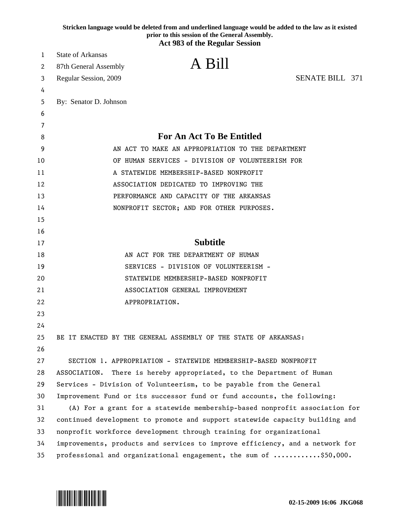|    | Stricken language would be deleted from and underlined language would be added to the law as it existed<br>prior to this session of the General Assembly.<br><b>Act 983 of the Regular Session</b> |  |
|----|----------------------------------------------------------------------------------------------------------------------------------------------------------------------------------------------------|--|
| 1  | <b>State of Arkansas</b>                                                                                                                                                                           |  |
| 2  | A Bill<br>87th General Assembly                                                                                                                                                                    |  |
| 3  | <b>SENATE BILL 371</b><br>Regular Session, 2009                                                                                                                                                    |  |
| 4  |                                                                                                                                                                                                    |  |
| 5  | By: Senator D. Johnson                                                                                                                                                                             |  |
| 6  |                                                                                                                                                                                                    |  |
| 7  |                                                                                                                                                                                                    |  |
| 8  | <b>For An Act To Be Entitled</b>                                                                                                                                                                   |  |
| 9  | AN ACT TO MAKE AN APPROPRIATION TO THE DEPARTMENT                                                                                                                                                  |  |
| 10 | OF HUMAN SERVICES - DIVISION OF VOLUNTEERISM FOR                                                                                                                                                   |  |
| 11 | A STATEWIDE MEMBERSHIP-BASED NONPROFIT                                                                                                                                                             |  |
| 12 | ASSOCIATION DEDICATED TO IMPROVING THE                                                                                                                                                             |  |
| 13 | PERFORMANCE AND CAPACITY OF THE ARKANSAS                                                                                                                                                           |  |
| 14 | NONPROFIT SECTOR; AND FOR OTHER PURPOSES.                                                                                                                                                          |  |
| 15 |                                                                                                                                                                                                    |  |
| 16 |                                                                                                                                                                                                    |  |
| 17 | <b>Subtitle</b>                                                                                                                                                                                    |  |
| 18 | AN ACT FOR THE DEPARTMENT OF HUMAN                                                                                                                                                                 |  |
| 19 | SERVICES - DIVISION OF VOLUNTEERISM -                                                                                                                                                              |  |
| 20 | STATEWIDE MEMBERSHIP-BASED NONPROFIT                                                                                                                                                               |  |
| 21 | ASSOCIATION GENERAL IMPROVEMENT                                                                                                                                                                    |  |
| 22 | APPROPRIATION.                                                                                                                                                                                     |  |
| 23 |                                                                                                                                                                                                    |  |
| 24 |                                                                                                                                                                                                    |  |
| 25 | BE IT ENACTED BY THE GENERAL ASSEMBLY OF THE STATE OF ARKANSAS:                                                                                                                                    |  |
| 26 |                                                                                                                                                                                                    |  |
| 27 | SECTION 1. APPROPRIATION - STATEWIDE MEMBERSHIP-BASED NONPROFIT                                                                                                                                    |  |
| 28 | ASSOCIATION. There is hereby appropriated, to the Department of Human                                                                                                                              |  |
| 29 | Services - Division of Volunteerism, to be payable from the General                                                                                                                                |  |
| 30 | Improvement Fund or its successor fund or fund accounts, the following:                                                                                                                            |  |
| 31 | (A) For a grant for a statewide membership-based nonprofit association for                                                                                                                         |  |
| 32 | continued development to promote and support statewide capacity building and                                                                                                                       |  |
| 33 | nonprofit workforce development through training for organizational                                                                                                                                |  |
| 34 | improvements, products and services to improve efficiency, and a network for                                                                                                                       |  |
| 35 | professional and organizational engagement, the sum of \$50,000.                                                                                                                                   |  |

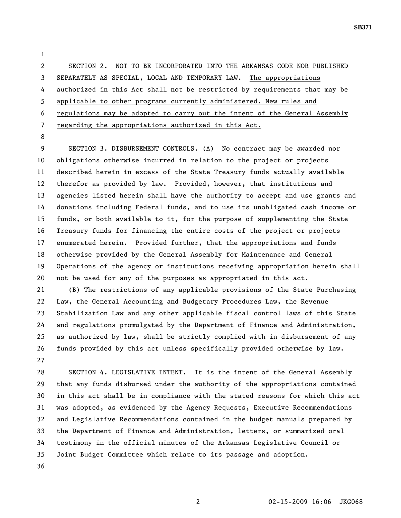2 SECTION 2. NOT TO BE INCORPORATED INTO THE ARKANSAS CODE NOR PUBLISHED 3 SEPARATELY AS SPECIAL, LOCAL AND TEMPORARY LAW. The appropriations 4 authorized in this Act shall not be restricted by requirements that may be 5 applicable to other programs currently administered. New rules and

6 regulations may be adopted to carry out the intent of the General Assembly

7 regarding the appropriations authorized in this Act.

8

1

9 SECTION 3. DISBURSEMENT CONTROLS. (A) No contract may be awarded nor 10 obligations otherwise incurred in relation to the project or projects 11 described herein in excess of the State Treasury funds actually available 12 therefor as provided by law. Provided, however, that institutions and 13 agencies listed herein shall have the authority to accept and use grants and 14 donations including Federal funds, and to use its unobligated cash income or 15 funds, or both available to it, for the purpose of supplementing the State 16 Treasury funds for financing the entire costs of the project or projects 17 enumerated herein. Provided further, that the appropriations and funds 18 otherwise provided by the General Assembly for Maintenance and General 19 Operations of the agency or institutions receiving appropriation herein shall 20 not be used for any of the purposes as appropriated in this act.

21 (B) The restrictions of any applicable provisions of the State Purchasing 22 Law, the General Accounting and Budgetary Procedures Law, the Revenue 23 Stabilization Law and any other applicable fiscal control laws of this State 24 and regulations promulgated by the Department of Finance and Administration, 25 as authorized by law, shall be strictly complied with in disbursement of any 26 funds provided by this act unless specifically provided otherwise by law. 27

28 SECTION 4. LEGISLATIVE INTENT. It is the intent of the General Assembly 29 that any funds disbursed under the authority of the appropriations contained 30 in this act shall be in compliance with the stated reasons for which this act 31 was adopted, as evidenced by the Agency Requests, Executive Recommendations 32 and Legislative Recommendations contained in the budget manuals prepared by 33 the Department of Finance and Administration, letters, or summarized oral 34 testimony in the official minutes of the Arkansas Legislative Council or 35 Joint Budget Committee which relate to its passage and adoption. 36